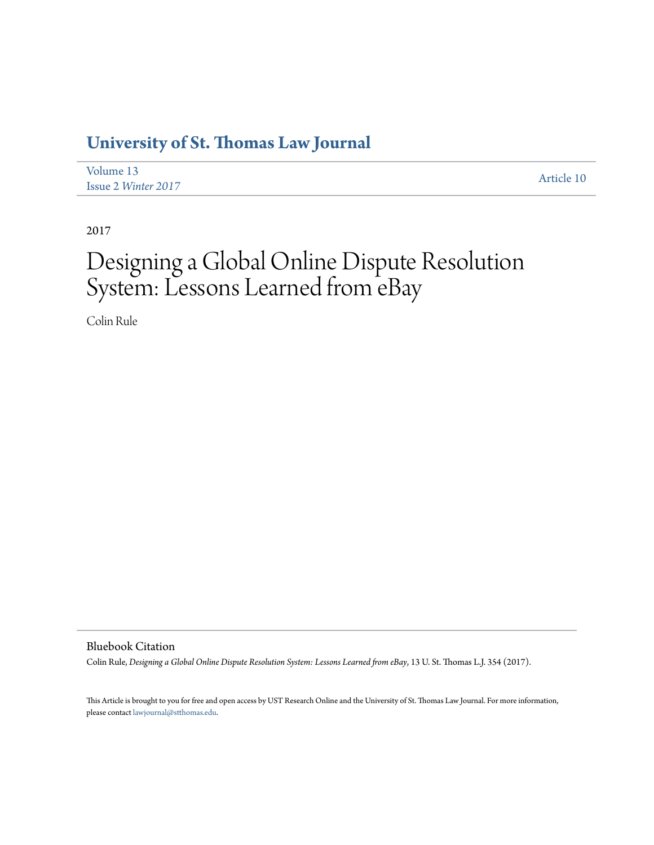# **[University of St. Thomas Law Journal](https://ir.stthomas.edu/ustlj)**

| Volume 13                  | Article 10 |
|----------------------------|------------|
| <b>Issue 2 Winter 2017</b> |            |

2017

# Designing a Global Online Dispute Resolution System: Lessons Learned from eBay

Colin Rule

Bluebook Citation

Colin Rule, *Designing a Global Online Dispute Resolution System: Lessons Learned from eBay*, 13 U. St. Thomas L.J. 354 (2017).

This Article is brought to you for free and open access by UST Research Online and the University of St. Thomas Law Journal. For more information, please contact [lawjournal@stthomas.edu.](mailto:lawjournal@stthomas.edu)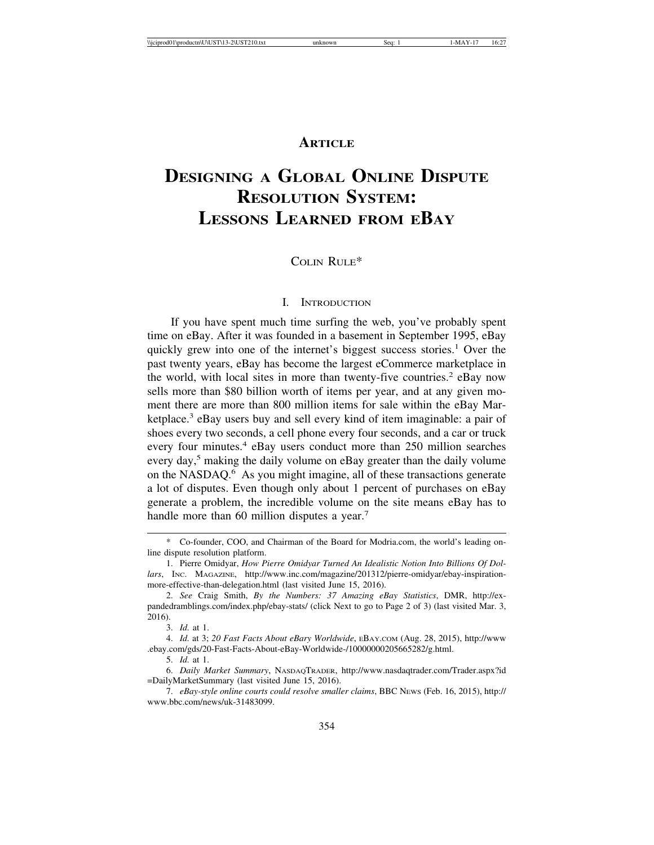## **ARTICLE**

# **DESIGNING A GLOBAL ONLINE DISPUTE RESOLUTION SYSTEM: LESSONS LEARNED FROM EBAY**

## COLIN RULE\*

#### I. INTRODUCTION

If you have spent much time surfing the web, you've probably spent time on eBay. After it was founded in a basement in September 1995, eBay quickly grew into one of the internet's biggest success stories.<sup>1</sup> Over the past twenty years, eBay has become the largest eCommerce marketplace in the world, with local sites in more than twenty-five countries.<sup>2</sup> eBay now sells more than \$80 billion worth of items per year, and at any given moment there are more than 800 million items for sale within the eBay Marketplace.<sup>3</sup> eBay users buy and sell every kind of item imaginable: a pair of shoes every two seconds, a cell phone every four seconds, and a car or truck every four minutes.<sup>4</sup> eBay users conduct more than 250 million searches every day,<sup>5</sup> making the daily volume on eBay greater than the daily volume on the NASDAQ.6 As you might imagine, all of these transactions generate a lot of disputes. Even though only about 1 percent of purchases on eBay generate a problem, the incredible volume on the site means eBay has to handle more than 60 million disputes a year.<sup>7</sup>

<sup>\*</sup> Co-founder, COO, and Chairman of the Board for Modria.com, the world's leading online dispute resolution platform.

<sup>1.</sup> Pierre Omidyar, *How Pierre Omidyar Turned An Idealistic Notion Into Billions Of Dollars*, INC. MAGAZINE, http://www.inc.com/magazine/201312/pierre-omidyar/ebay-inspirationmore-effective-than-delegation.html (last visited June 15, 2016).

<sup>2.</sup> *See* Craig Smith, *By the Numbers: 37 Amazing eBay Statistics*, DMR, http://expandedramblings.com/index.php/ebay-stats/ (click Next to go to Page 2 of 3) (last visited Mar. 3, 2016).

<sup>3.</sup> *Id.* at 1.

<sup>4.</sup> *Id.* at 3; *20 Fast Facts About eBary Worldwide*, EBAY.COM (Aug. 28, 2015), http://www .ebay.com/gds/20-Fast-Facts-About-eBay-Worldwide-/10000000205665282/g.html.

<sup>5.</sup> *Id.* at 1.

<sup>6.</sup> *Daily Market Summary*, NASDAQTRADER, http://www.nasdaqtrader.com/Trader.aspx?id =DailyMarketSummary (last visited June 15, 2016).

<sup>7.</sup> *eBay-style online courts could resolve smaller claims*, BBC NEWS (Feb. 16, 2015), http:// www.bbc.com/news/uk-31483099.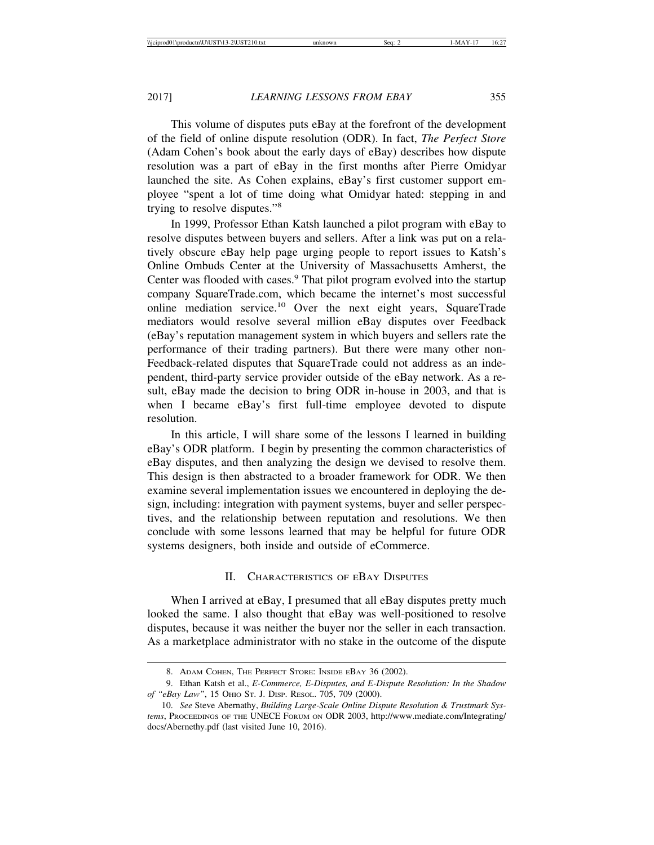This volume of disputes puts eBay at the forefront of the development of the field of online dispute resolution (ODR). In fact, *The Perfect Store* (Adam Cohen's book about the early days of eBay) describes how dispute resolution was a part of eBay in the first months after Pierre Omidyar launched the site. As Cohen explains, eBay's first customer support employee "spent a lot of time doing what Omidyar hated: stepping in and trying to resolve disputes."8

In 1999, Professor Ethan Katsh launched a pilot program with eBay to resolve disputes between buyers and sellers. After a link was put on a relatively obscure eBay help page urging people to report issues to Katsh's Online Ombuds Center at the University of Massachusetts Amherst, the Center was flooded with cases.<sup>9</sup> That pilot program evolved into the startup company SquareTrade.com, which became the internet's most successful online mediation service.10 Over the next eight years, SquareTrade mediators would resolve several million eBay disputes over Feedback (eBay's reputation management system in which buyers and sellers rate the performance of their trading partners). But there were many other non-Feedback-related disputes that SquareTrade could not address as an independent, third-party service provider outside of the eBay network. As a result, eBay made the decision to bring ODR in-house in 2003, and that is when I became eBay's first full-time employee devoted to dispute resolution.

In this article, I will share some of the lessons I learned in building eBay's ODR platform. I begin by presenting the common characteristics of eBay disputes, and then analyzing the design we devised to resolve them. This design is then abstracted to a broader framework for ODR. We then examine several implementation issues we encountered in deploying the design, including: integration with payment systems, buyer and seller perspectives, and the relationship between reputation and resolutions. We then conclude with some lessons learned that may be helpful for future ODR systems designers, both inside and outside of eCommerce.

#### II. CHARACTERISTICS OF EBAY DISPUTES

When I arrived at eBay, I presumed that all eBay disputes pretty much looked the same. I also thought that eBay was well-positioned to resolve disputes, because it was neither the buyer nor the seller in each transaction. As a marketplace administrator with no stake in the outcome of the dispute

<sup>8.</sup> ADAM COHEN, THE PERFECT STORE: INSIDE EBAY 36 (2002).

<sup>9.</sup> Ethan Katsh et al., *E-Commerce, E-Disputes, and E-Dispute Resolution: In the Shadow of "eBay Law"*, 15 OHIO ST. J. DISP. RESOL. 705, 709 (2000).

<sup>10.</sup> *See* Steve Abernathy, *Building Large-Scale Online Dispute Resolution & Trustmark Systems*, PROCEEDINGS OF THE UNECE FORUM ON ODR 2003, http://www.mediate.com/Integrating/ docs/Abernethy.pdf (last visited June 10, 2016).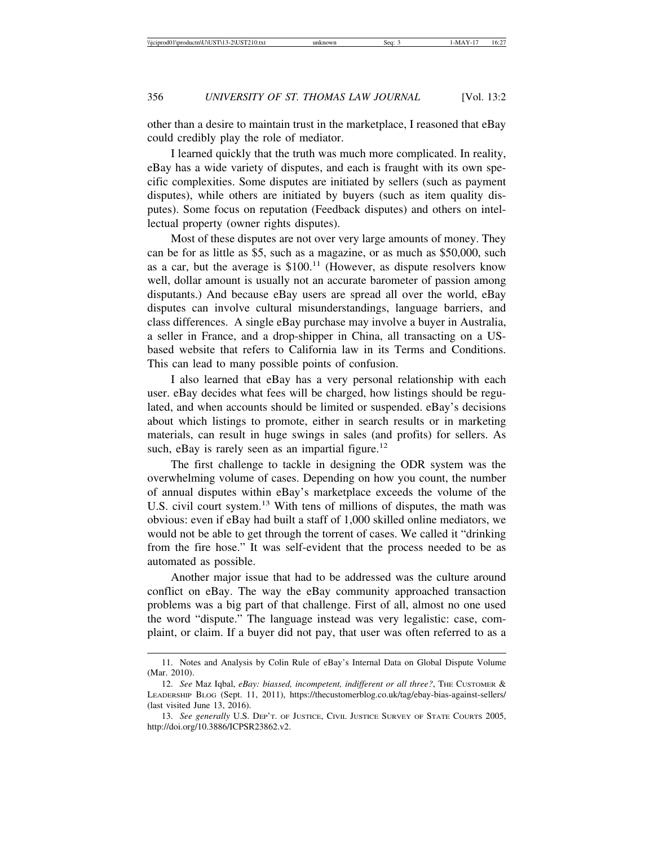other than a desire to maintain trust in the marketplace, I reasoned that eBay could credibly play the role of mediator.

I learned quickly that the truth was much more complicated. In reality, eBay has a wide variety of disputes, and each is fraught with its own specific complexities. Some disputes are initiated by sellers (such as payment disputes), while others are initiated by buyers (such as item quality disputes). Some focus on reputation (Feedback disputes) and others on intellectual property (owner rights disputes).

Most of these disputes are not over very large amounts of money. They can be for as little as \$5, such as a magazine, or as much as \$50,000, such as a car, but the average is  $$100<sup>11</sup>$  (However, as dispute resolvers know well, dollar amount is usually not an accurate barometer of passion among disputants.) And because eBay users are spread all over the world, eBay disputes can involve cultural misunderstandings, language barriers, and class differences. A single eBay purchase may involve a buyer in Australia, a seller in France, and a drop-shipper in China, all transacting on a USbased website that refers to California law in its Terms and Conditions. This can lead to many possible points of confusion.

I also learned that eBay has a very personal relationship with each user. eBay decides what fees will be charged, how listings should be regulated, and when accounts should be limited or suspended. eBay's decisions about which listings to promote, either in search results or in marketing materials, can result in huge swings in sales (and profits) for sellers. As such, eBay is rarely seen as an impartial figure.<sup>12</sup>

The first challenge to tackle in designing the ODR system was the overwhelming volume of cases. Depending on how you count, the number of annual disputes within eBay's marketplace exceeds the volume of the U.S. civil court system.13 With tens of millions of disputes, the math was obvious: even if eBay had built a staff of 1,000 skilled online mediators, we would not be able to get through the torrent of cases. We called it "drinking from the fire hose." It was self-evident that the process needed to be as automated as possible.

Another major issue that had to be addressed was the culture around conflict on eBay. The way the eBay community approached transaction problems was a big part of that challenge. First of all, almost no one used the word "dispute." The language instead was very legalistic: case, complaint, or claim. If a buyer did not pay, that user was often referred to as a

<sup>11.</sup> Notes and Analysis by Colin Rule of eBay's Internal Data on Global Dispute Volume (Mar. 2010).

<sup>12.</sup> See Maz Iqbal, *eBay: biassed, incompetent, indifferent or all three?*, THE CUSTOMER & LEADERSHIP BLOG (Sept. 11, 2011), https://thecustomerblog.co.uk/tag/ebay-bias-against-sellers/ (last visited June 13, 2016).

<sup>13.</sup> *See generally* U.S. DEP'T. OF JUSTICE, CIVIL JUSTICE SURVEY OF STATE COURTS 2005, http://doi.org/10.3886/ICPSR23862.v2.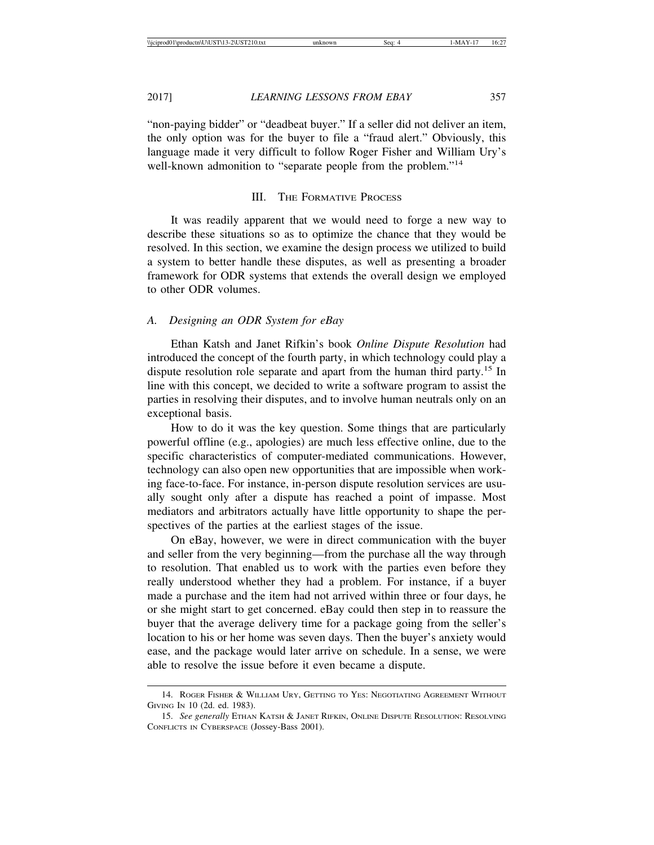"non-paying bidder" or "deadbeat buyer." If a seller did not deliver an item, the only option was for the buyer to file a "fraud alert." Obviously, this language made it very difficult to follow Roger Fisher and William Ury's well-known admonition to "separate people from the problem."14

#### III. THE FORMATIVE PROCESS

It was readily apparent that we would need to forge a new way to describe these situations so as to optimize the chance that they would be resolved. In this section, we examine the design process we utilized to build a system to better handle these disputes, as well as presenting a broader framework for ODR systems that extends the overall design we employed to other ODR volumes.

#### *A. Designing an ODR System for eBay*

Ethan Katsh and Janet Rifkin's book *Online Dispute Resolution* had introduced the concept of the fourth party, in which technology could play a dispute resolution role separate and apart from the human third party.<sup>15</sup> In line with this concept, we decided to write a software program to assist the parties in resolving their disputes, and to involve human neutrals only on an exceptional basis.

How to do it was the key question. Some things that are particularly powerful offline (e.g., apologies) are much less effective online, due to the specific characteristics of computer-mediated communications. However, technology can also open new opportunities that are impossible when working face-to-face. For instance, in-person dispute resolution services are usually sought only after a dispute has reached a point of impasse. Most mediators and arbitrators actually have little opportunity to shape the perspectives of the parties at the earliest stages of the issue.

On eBay, however, we were in direct communication with the buyer and seller from the very beginning—from the purchase all the way through to resolution. That enabled us to work with the parties even before they really understood whether they had a problem. For instance, if a buyer made a purchase and the item had not arrived within three or four days, he or she might start to get concerned. eBay could then step in to reassure the buyer that the average delivery time for a package going from the seller's location to his or her home was seven days. Then the buyer's anxiety would ease, and the package would later arrive on schedule. In a sense, we were able to resolve the issue before it even became a dispute.

<sup>14.</sup> ROGER FISHER & WILLIAM URY, GETTING TO YES: NEGOTIATING AGREEMENT WITHOUT GIVING IN 10 (2d. ed. 1983).

<sup>15.</sup> *See generally* ETHAN KATSH & JANET RIFKIN, ONLINE DISPUTE RESOLUTION: RESOLVING CONFLICTS IN CYBERSPACE (Jossey-Bass 2001).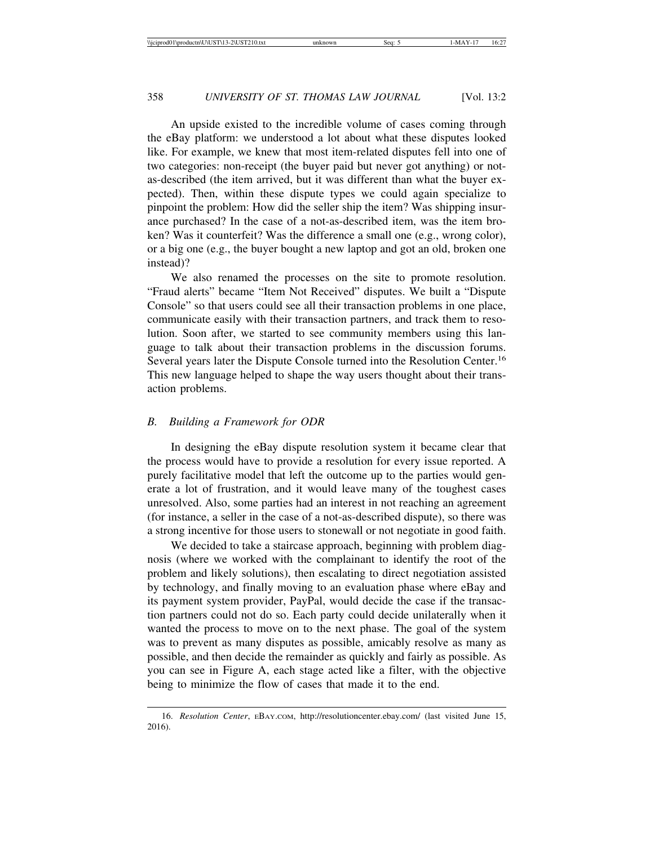An upside existed to the incredible volume of cases coming through the eBay platform: we understood a lot about what these disputes looked like. For example, we knew that most item-related disputes fell into one of two categories: non-receipt (the buyer paid but never got anything) or notas-described (the item arrived, but it was different than what the buyer expected). Then, within these dispute types we could again specialize to pinpoint the problem: How did the seller ship the item? Was shipping insurance purchased? In the case of a not-as-described item, was the item broken? Was it counterfeit? Was the difference a small one (e.g., wrong color), or a big one (e.g., the buyer bought a new laptop and got an old, broken one instead)?

We also renamed the processes on the site to promote resolution. "Fraud alerts" became "Item Not Received" disputes. We built a "Dispute Console" so that users could see all their transaction problems in one place, communicate easily with their transaction partners, and track them to resolution. Soon after, we started to see community members using this language to talk about their transaction problems in the discussion forums. Several years later the Dispute Console turned into the Resolution Center.<sup>16</sup> This new language helped to shape the way users thought about their transaction problems.

#### *B. Building a Framework for ODR*

In designing the eBay dispute resolution system it became clear that the process would have to provide a resolution for every issue reported. A purely facilitative model that left the outcome up to the parties would generate a lot of frustration, and it would leave many of the toughest cases unresolved. Also, some parties had an interest in not reaching an agreement (for instance, a seller in the case of a not-as-described dispute), so there was a strong incentive for those users to stonewall or not negotiate in good faith.

We decided to take a staircase approach, beginning with problem diagnosis (where we worked with the complainant to identify the root of the problem and likely solutions), then escalating to direct negotiation assisted by technology, and finally moving to an evaluation phase where eBay and its payment system provider, PayPal, would decide the case if the transaction partners could not do so. Each party could decide unilaterally when it wanted the process to move on to the next phase. The goal of the system was to prevent as many disputes as possible, amicably resolve as many as possible, and then decide the remainder as quickly and fairly as possible. As you can see in Figure A, each stage acted like a filter, with the objective being to minimize the flow of cases that made it to the end.

<sup>16.</sup> *Resolution Center*, EBAY.COM, http://resolutioncenter.ebay.com/ (last visited June 15, 2016).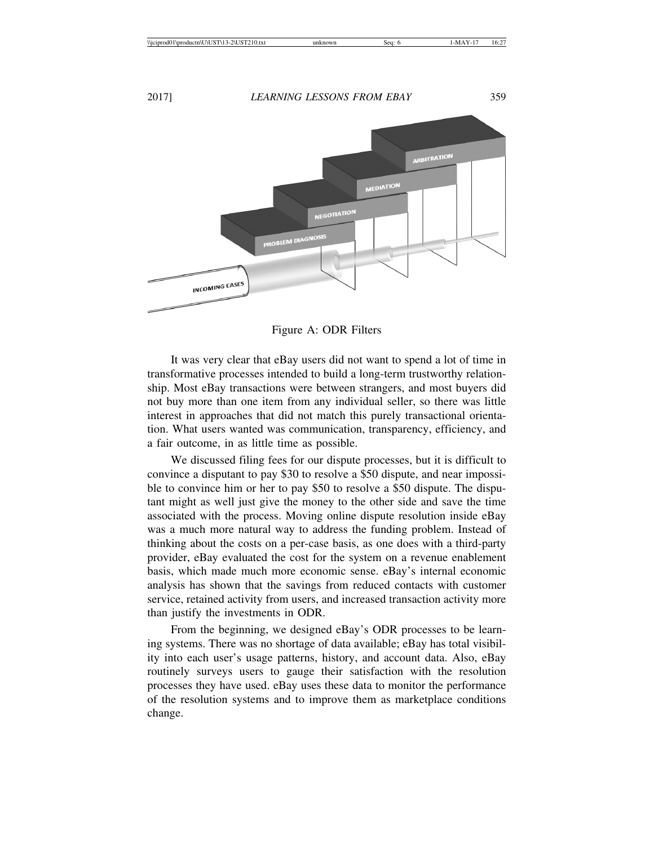

Figure A: ODR Filters

It was very clear that eBay users did not want to spend a lot of time in transformative processes intended to build a long-term trustworthy relationship. Most eBay transactions were between strangers, and most buyers did not buy more than one item from any individual seller, so there was little interest in approaches that did not match this purely transactional orientation. What users wanted was communication, transparency, efficiency, and a fair outcome, in as little time as possible.

We discussed filing fees for our dispute processes, but it is difficult to convince a disputant to pay \$30 to resolve a \$50 dispute, and near impossible to convince him or her to pay \$50 to resolve a \$50 dispute. The disputant might as well just give the money to the other side and save the time associated with the process. Moving online dispute resolution inside eBay was a much more natural way to address the funding problem. Instead of thinking about the costs on a per-case basis, as one does with a third-party provider, eBay evaluated the cost for the system on a revenue enablement basis, which made much more economic sense. eBay's internal economic analysis has shown that the savings from reduced contacts with customer service, retained activity from users, and increased transaction activity more than justify the investments in ODR.

From the beginning, we designed eBay's ODR processes to be learning systems. There was no shortage of data available; eBay has total visibility into each user's usage patterns, history, and account data. Also, eBay routinely surveys users to gauge their satisfaction with the resolution processes they have used. eBay uses these data to monitor the performance of the resolution systems and to improve them as marketplace conditions change.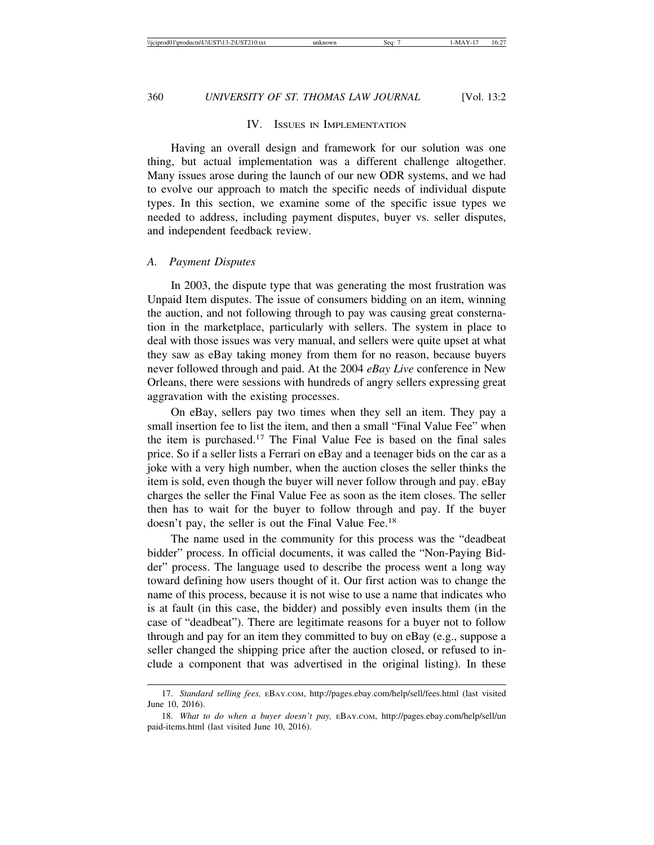#### IV. ISSUES IN IMPLEMENTATION

Having an overall design and framework for our solution was one thing, but actual implementation was a different challenge altogether. Many issues arose during the launch of our new ODR systems, and we had to evolve our approach to match the specific needs of individual dispute types. In this section, we examine some of the specific issue types we needed to address, including payment disputes, buyer vs. seller disputes, and independent feedback review.

#### *A. Payment Disputes*

In 2003, the dispute type that was generating the most frustration was Unpaid Item disputes. The issue of consumers bidding on an item, winning the auction, and not following through to pay was causing great consternation in the marketplace, particularly with sellers. The system in place to deal with those issues was very manual, and sellers were quite upset at what they saw as eBay taking money from them for no reason, because buyers never followed through and paid. At the 2004 *eBay Live* conference in New Orleans, there were sessions with hundreds of angry sellers expressing great aggravation with the existing processes.

On eBay, sellers pay two times when they sell an item. They pay a small insertion fee to list the item, and then a small "Final Value Fee" when the item is purchased.17 The Final Value Fee is based on the final sales price. So if a seller lists a Ferrari on eBay and a teenager bids on the car as a joke with a very high number, when the auction closes the seller thinks the item is sold, even though the buyer will never follow through and pay. eBay charges the seller the Final Value Fee as soon as the item closes. The seller then has to wait for the buyer to follow through and pay. If the buyer doesn't pay, the seller is out the Final Value Fee.<sup>18</sup>

The name used in the community for this process was the "deadbeat bidder" process. In official documents, it was called the "Non-Paying Bidder" process. The language used to describe the process went a long way toward defining how users thought of it. Our first action was to change the name of this process, because it is not wise to use a name that indicates who is at fault (in this case, the bidder) and possibly even insults them (in the case of "deadbeat"). There are legitimate reasons for a buyer not to follow through and pay for an item they committed to buy on eBay (e.g., suppose a seller changed the shipping price after the auction closed, or refused to include a component that was advertised in the original listing). In these

<sup>17.</sup> *Standard selling fees,* EBAY.COM, http://pages.ebay.com/help/sell/fees.html (last visited June 10, 2016).

<sup>18.</sup> *What to do when a buyer doesn't pay,* EBAY.COM, http://pages.ebay.com/help/sell/un paid-items.html (last visited June 10, 2016).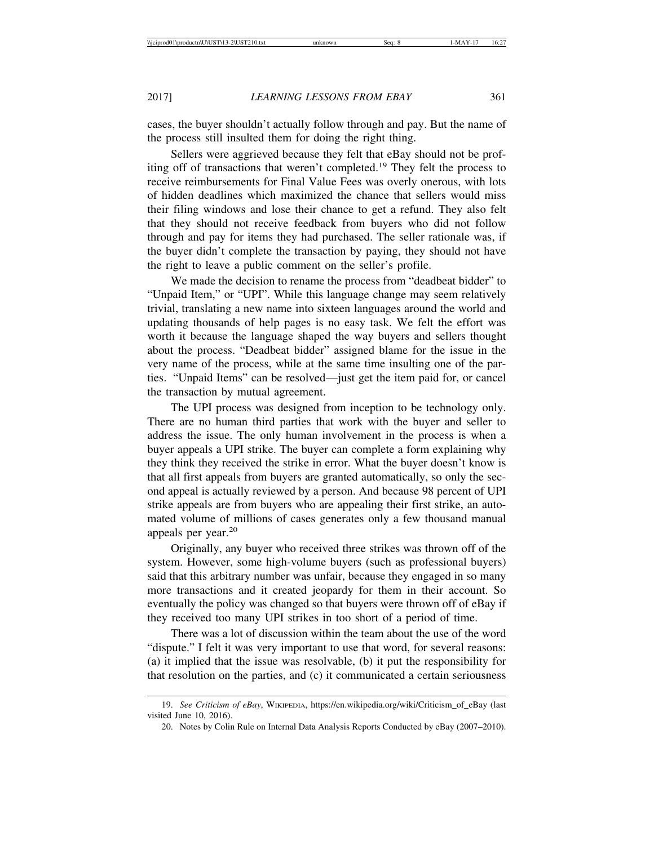cases, the buyer shouldn't actually follow through and pay. But the name of the process still insulted them for doing the right thing.

Sellers were aggrieved because they felt that eBay should not be profiting off of transactions that weren't completed.19 They felt the process to receive reimbursements for Final Value Fees was overly onerous, with lots of hidden deadlines which maximized the chance that sellers would miss their filing windows and lose their chance to get a refund. They also felt that they should not receive feedback from buyers who did not follow through and pay for items they had purchased. The seller rationale was, if the buyer didn't complete the transaction by paying, they should not have the right to leave a public comment on the seller's profile.

We made the decision to rename the process from "deadbeat bidder" to "Unpaid Item," or "UPI". While this language change may seem relatively trivial, translating a new name into sixteen languages around the world and updating thousands of help pages is no easy task. We felt the effort was worth it because the language shaped the way buyers and sellers thought about the process. "Deadbeat bidder" assigned blame for the issue in the very name of the process, while at the same time insulting one of the parties. "Unpaid Items" can be resolved—just get the item paid for, or cancel the transaction by mutual agreement.

The UPI process was designed from inception to be technology only. There are no human third parties that work with the buyer and seller to address the issue. The only human involvement in the process is when a buyer appeals a UPI strike. The buyer can complete a form explaining why they think they received the strike in error. What the buyer doesn't know is that all first appeals from buyers are granted automatically, so only the second appeal is actually reviewed by a person. And because 98 percent of UPI strike appeals are from buyers who are appealing their first strike, an automated volume of millions of cases generates only a few thousand manual appeals per year.<sup>20</sup>

Originally, any buyer who received three strikes was thrown off of the system. However, some high-volume buyers (such as professional buyers) said that this arbitrary number was unfair, because they engaged in so many more transactions and it created jeopardy for them in their account. So eventually the policy was changed so that buyers were thrown off of eBay if they received too many UPI strikes in too short of a period of time.

There was a lot of discussion within the team about the use of the word "dispute." I felt it was very important to use that word, for several reasons: (a) it implied that the issue was resolvable, (b) it put the responsibility for that resolution on the parties, and (c) it communicated a certain seriousness

<sup>19.</sup> *See Criticism of eBay*, WIKIPEDIA, https://en.wikipedia.org/wiki/Criticism\_of\_eBay (last visited June 10, 2016).

<sup>20.</sup> Notes by Colin Rule on Internal Data Analysis Reports Conducted by eBay (2007–2010).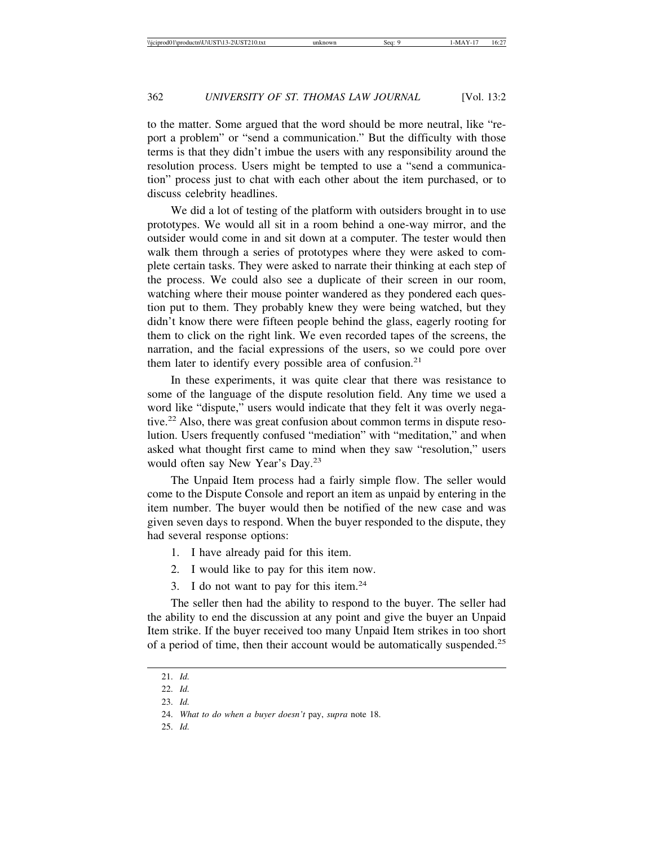to the matter. Some argued that the word should be more neutral, like "report a problem" or "send a communication." But the difficulty with those terms is that they didn't imbue the users with any responsibility around the resolution process. Users might be tempted to use a "send a communication" process just to chat with each other about the item purchased, or to discuss celebrity headlines.

We did a lot of testing of the platform with outsiders brought in to use prototypes. We would all sit in a room behind a one-way mirror, and the outsider would come in and sit down at a computer. The tester would then walk them through a series of prototypes where they were asked to complete certain tasks. They were asked to narrate their thinking at each step of the process. We could also see a duplicate of their screen in our room, watching where their mouse pointer wandered as they pondered each question put to them. They probably knew they were being watched, but they didn't know there were fifteen people behind the glass, eagerly rooting for them to click on the right link. We even recorded tapes of the screens, the narration, and the facial expressions of the users, so we could pore over them later to identify every possible area of confusion.<sup>21</sup>

In these experiments, it was quite clear that there was resistance to some of the language of the dispute resolution field. Any time we used a word like "dispute," users would indicate that they felt it was overly negative.<sup>22</sup> Also, there was great confusion about common terms in dispute resolution. Users frequently confused "mediation" with "meditation," and when asked what thought first came to mind when they saw "resolution," users would often say New Year's Day.<sup>23</sup>

The Unpaid Item process had a fairly simple flow. The seller would come to the Dispute Console and report an item as unpaid by entering in the item number. The buyer would then be notified of the new case and was given seven days to respond. When the buyer responded to the dispute, they had several response options:

- 1. I have already paid for this item.
- 2. I would like to pay for this item now.
- 3. I do not want to pay for this item. $24$

The seller then had the ability to respond to the buyer. The seller had the ability to end the discussion at any point and give the buyer an Unpaid Item strike. If the buyer received too many Unpaid Item strikes in too short of a period of time, then their account would be automatically suspended.25

<sup>21.</sup> *Id.*

<sup>22.</sup> *Id.*

<sup>23.</sup> *Id.*

<sup>24.</sup> *What to do when a buyer doesn't* pay, *supra* note 18.

<sup>25.</sup> *Id.*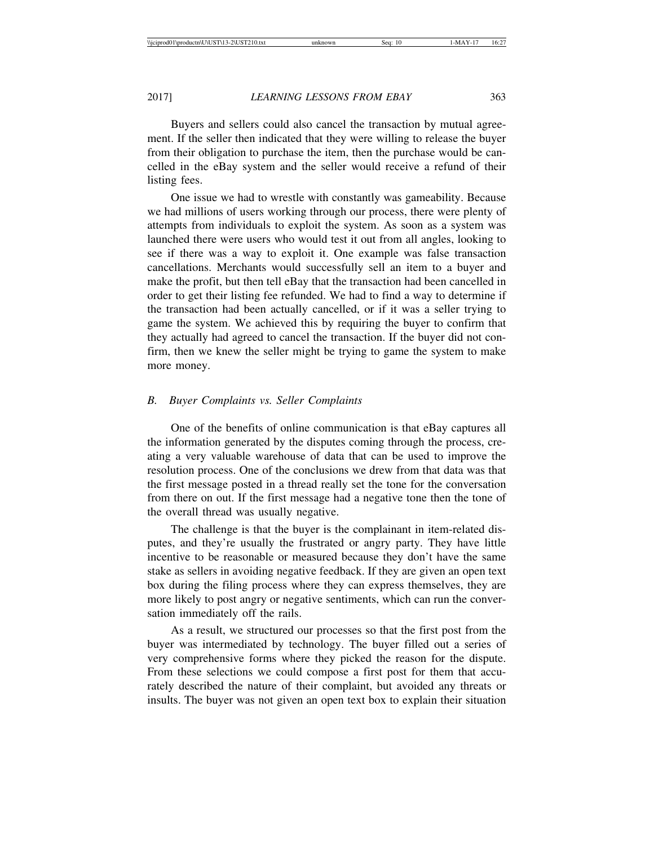Buyers and sellers could also cancel the transaction by mutual agreement. If the seller then indicated that they were willing to release the buyer from their obligation to purchase the item, then the purchase would be cancelled in the eBay system and the seller would receive a refund of their listing fees.

One issue we had to wrestle with constantly was gameability. Because we had millions of users working through our process, there were plenty of attempts from individuals to exploit the system. As soon as a system was launched there were users who would test it out from all angles, looking to see if there was a way to exploit it. One example was false transaction cancellations. Merchants would successfully sell an item to a buyer and make the profit, but then tell eBay that the transaction had been cancelled in order to get their listing fee refunded. We had to find a way to determine if the transaction had been actually cancelled, or if it was a seller trying to game the system. We achieved this by requiring the buyer to confirm that they actually had agreed to cancel the transaction. If the buyer did not confirm, then we knew the seller might be trying to game the system to make more money.

#### *B. Buyer Complaints vs. Seller Complaints*

One of the benefits of online communication is that eBay captures all the information generated by the disputes coming through the process, creating a very valuable warehouse of data that can be used to improve the resolution process. One of the conclusions we drew from that data was that the first message posted in a thread really set the tone for the conversation from there on out. If the first message had a negative tone then the tone of the overall thread was usually negative.

The challenge is that the buyer is the complainant in item-related disputes, and they're usually the frustrated or angry party. They have little incentive to be reasonable or measured because they don't have the same stake as sellers in avoiding negative feedback. If they are given an open text box during the filing process where they can express themselves, they are more likely to post angry or negative sentiments, which can run the conversation immediately off the rails.

As a result, we structured our processes so that the first post from the buyer was intermediated by technology. The buyer filled out a series of very comprehensive forms where they picked the reason for the dispute. From these selections we could compose a first post for them that accurately described the nature of their complaint, but avoided any threats or insults. The buyer was not given an open text box to explain their situation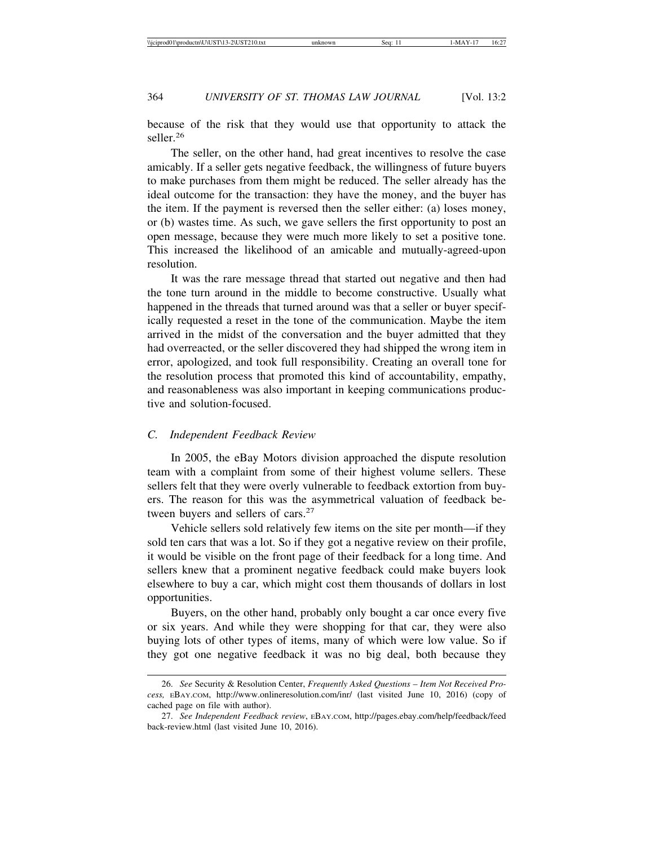because of the risk that they would use that opportunity to attack the seller.<sup>26</sup>

The seller, on the other hand, had great incentives to resolve the case amicably. If a seller gets negative feedback, the willingness of future buyers to make purchases from them might be reduced. The seller already has the ideal outcome for the transaction: they have the money, and the buyer has the item. If the payment is reversed then the seller either: (a) loses money, or (b) wastes time. As such, we gave sellers the first opportunity to post an open message, because they were much more likely to set a positive tone. This increased the likelihood of an amicable and mutually-agreed-upon resolution.

It was the rare message thread that started out negative and then had the tone turn around in the middle to become constructive. Usually what happened in the threads that turned around was that a seller or buyer specifically requested a reset in the tone of the communication. Maybe the item arrived in the midst of the conversation and the buyer admitted that they had overreacted, or the seller discovered they had shipped the wrong item in error, apologized, and took full responsibility. Creating an overall tone for the resolution process that promoted this kind of accountability, empathy, and reasonableness was also important in keeping communications productive and solution-focused.

#### *C. Independent Feedback Review*

In 2005, the eBay Motors division approached the dispute resolution team with a complaint from some of their highest volume sellers. These sellers felt that they were overly vulnerable to feedback extortion from buyers. The reason for this was the asymmetrical valuation of feedback between buyers and sellers of cars.<sup>27</sup>

Vehicle sellers sold relatively few items on the site per month—if they sold ten cars that was a lot. So if they got a negative review on their profile, it would be visible on the front page of their feedback for a long time. And sellers knew that a prominent negative feedback could make buyers look elsewhere to buy a car, which might cost them thousands of dollars in lost opportunities.

Buyers, on the other hand, probably only bought a car once every five or six years. And while they were shopping for that car, they were also buying lots of other types of items, many of which were low value. So if they got one negative feedback it was no big deal, both because they

<sup>26.</sup> *See* Security & Resolution Center, *Frequently Asked Questions – Item Not Received Process,* EBAY.COM, http://www.onlineresolution.com/inr/ (last visited June 10, 2016) (copy of cached page on file with author).

<sup>27.</sup> *See Independent Feedback review*, EBAY.COM, http://pages.ebay.com/help/feedback/feed back-review.html (last visited June 10, 2016).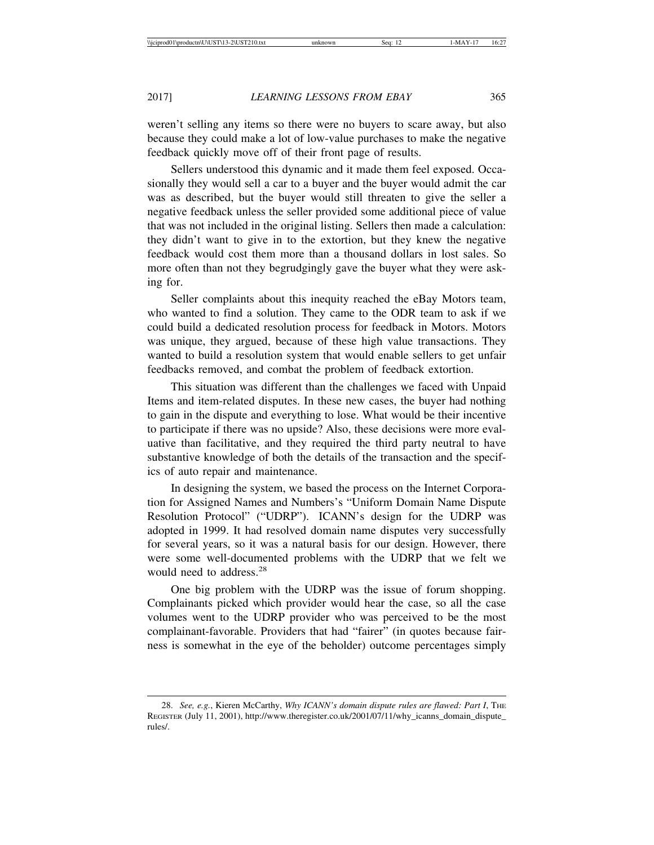weren't selling any items so there were no buyers to scare away, but also because they could make a lot of low-value purchases to make the negative feedback quickly move off of their front page of results.

Sellers understood this dynamic and it made them feel exposed. Occasionally they would sell a car to a buyer and the buyer would admit the car was as described, but the buyer would still threaten to give the seller a negative feedback unless the seller provided some additional piece of value that was not included in the original listing. Sellers then made a calculation: they didn't want to give in to the extortion, but they knew the negative feedback would cost them more than a thousand dollars in lost sales. So more often than not they begrudgingly gave the buyer what they were asking for.

Seller complaints about this inequity reached the eBay Motors team, who wanted to find a solution. They came to the ODR team to ask if we could build a dedicated resolution process for feedback in Motors. Motors was unique, they argued, because of these high value transactions. They wanted to build a resolution system that would enable sellers to get unfair feedbacks removed, and combat the problem of feedback extortion.

This situation was different than the challenges we faced with Unpaid Items and item-related disputes. In these new cases, the buyer had nothing to gain in the dispute and everything to lose. What would be their incentive to participate if there was no upside? Also, these decisions were more evaluative than facilitative, and they required the third party neutral to have substantive knowledge of both the details of the transaction and the specifics of auto repair and maintenance.

In designing the system, we based the process on the Internet Corporation for Assigned Names and Numbers's "Uniform Domain Name Dispute Resolution Protocol" ("UDRP"). ICANN's design for the UDRP was adopted in 1999. It had resolved domain name disputes very successfully for several years, so it was a natural basis for our design. However, there were some well-documented problems with the UDRP that we felt we would need to address.<sup>28</sup>

One big problem with the UDRP was the issue of forum shopping. Complainants picked which provider would hear the case, so all the case volumes went to the UDRP provider who was perceived to be the most complainant-favorable. Providers that had "fairer" (in quotes because fairness is somewhat in the eye of the beholder) outcome percentages simply

<sup>28.</sup> *See, e.g., Kieren McCarthy, Why ICANN's domain dispute rules are flawed: Part I, THE* REGISTER (July 11, 2001), http://www.theregister.co.uk/2001/07/11/why\_icanns\_domain\_dispute\_ rules/.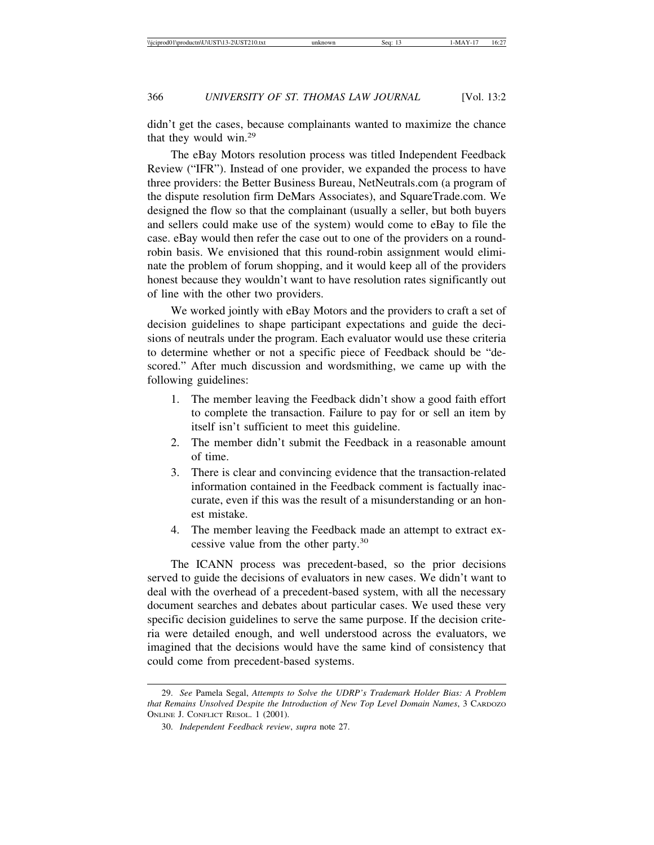didn't get the cases, because complainants wanted to maximize the chance that they would win.29

The eBay Motors resolution process was titled Independent Feedback Review ("IFR"). Instead of one provider, we expanded the process to have three providers: the Better Business Bureau, NetNeutrals.com (a program of the dispute resolution firm DeMars Associates), and SquareTrade.com. We designed the flow so that the complainant (usually a seller, but both buyers and sellers could make use of the system) would come to eBay to file the case. eBay would then refer the case out to one of the providers on a roundrobin basis. We envisioned that this round-robin assignment would eliminate the problem of forum shopping, and it would keep all of the providers honest because they wouldn't want to have resolution rates significantly out of line with the other two providers.

We worked jointly with eBay Motors and the providers to craft a set of decision guidelines to shape participant expectations and guide the decisions of neutrals under the program. Each evaluator would use these criteria to determine whether or not a specific piece of Feedback should be "descored." After much discussion and wordsmithing, we came up with the following guidelines:

- 1. The member leaving the Feedback didn't show a good faith effort to complete the transaction. Failure to pay for or sell an item by itself isn't sufficient to meet this guideline.
- 2. The member didn't submit the Feedback in a reasonable amount of time.
- 3. There is clear and convincing evidence that the transaction-related information contained in the Feedback comment is factually inaccurate, even if this was the result of a misunderstanding or an honest mistake.
- 4. The member leaving the Feedback made an attempt to extract excessive value from the other party.30

The ICANN process was precedent-based, so the prior decisions served to guide the decisions of evaluators in new cases. We didn't want to deal with the overhead of a precedent-based system, with all the necessary document searches and debates about particular cases. We used these very specific decision guidelines to serve the same purpose. If the decision criteria were detailed enough, and well understood across the evaluators, we imagined that the decisions would have the same kind of consistency that could come from precedent-based systems.

<sup>29.</sup> *See* Pamela Segal, *Attempts to Solve the UDRP's Trademark Holder Bias: A Problem that Remains Unsolved Despite the Introduction of New Top Level Domain Names*, 3 CARDOZO ONLINE J. CONFLICT RESOL. 1 (2001).

<sup>30.</sup> *Independent Feedback review*, *supra* note 27.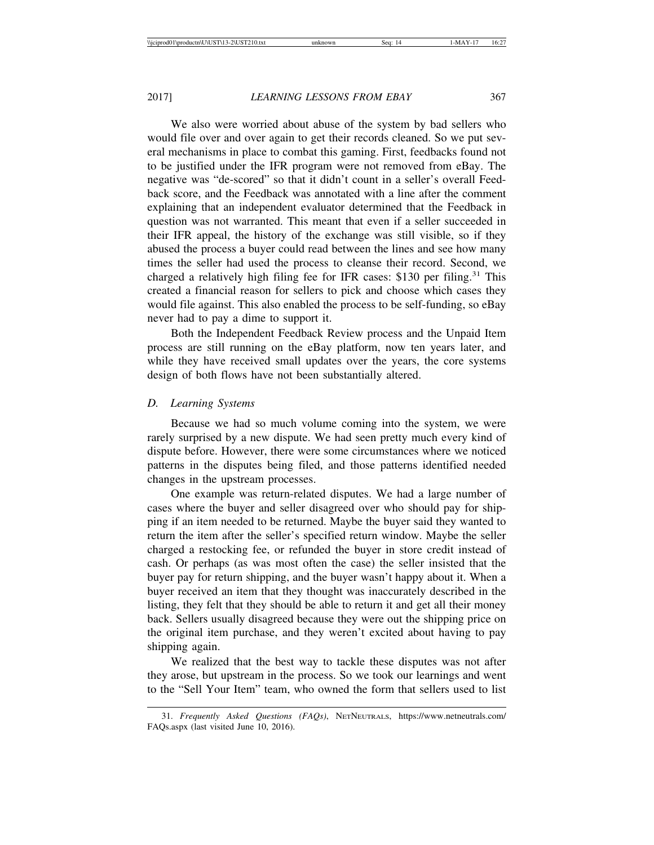We also were worried about abuse of the system by bad sellers who would file over and over again to get their records cleaned. So we put several mechanisms in place to combat this gaming. First, feedbacks found not to be justified under the IFR program were not removed from eBay. The negative was "de-scored" so that it didn't count in a seller's overall Feedback score, and the Feedback was annotated with a line after the comment explaining that an independent evaluator determined that the Feedback in question was not warranted. This meant that even if a seller succeeded in their IFR appeal, the history of the exchange was still visible, so if they abused the process a buyer could read between the lines and see how many times the seller had used the process to cleanse their record. Second, we charged a relatively high filing fee for IFR cases: \$130 per filing.<sup>31</sup> This created a financial reason for sellers to pick and choose which cases they would file against. This also enabled the process to be self-funding, so eBay never had to pay a dime to support it.

Both the Independent Feedback Review process and the Unpaid Item process are still running on the eBay platform, now ten years later, and while they have received small updates over the years, the core systems design of both flows have not been substantially altered.

#### *D. Learning Systems*

Because we had so much volume coming into the system, we were rarely surprised by a new dispute. We had seen pretty much every kind of dispute before. However, there were some circumstances where we noticed patterns in the disputes being filed, and those patterns identified needed changes in the upstream processes.

One example was return-related disputes. We had a large number of cases where the buyer and seller disagreed over who should pay for shipping if an item needed to be returned. Maybe the buyer said they wanted to return the item after the seller's specified return window. Maybe the seller charged a restocking fee, or refunded the buyer in store credit instead of cash. Or perhaps (as was most often the case) the seller insisted that the buyer pay for return shipping, and the buyer wasn't happy about it. When a buyer received an item that they thought was inaccurately described in the listing, they felt that they should be able to return it and get all their money back. Sellers usually disagreed because they were out the shipping price on the original item purchase, and they weren't excited about having to pay shipping again.

We realized that the best way to tackle these disputes was not after they arose, but upstream in the process. So we took our learnings and went to the "Sell Your Item" team, who owned the form that sellers used to list

<sup>31.</sup> *Frequently Asked Questions (FAQs)*, NETNEUTRALS, https://www.netneutrals.com/ FAQs.aspx (last visited June 10, 2016).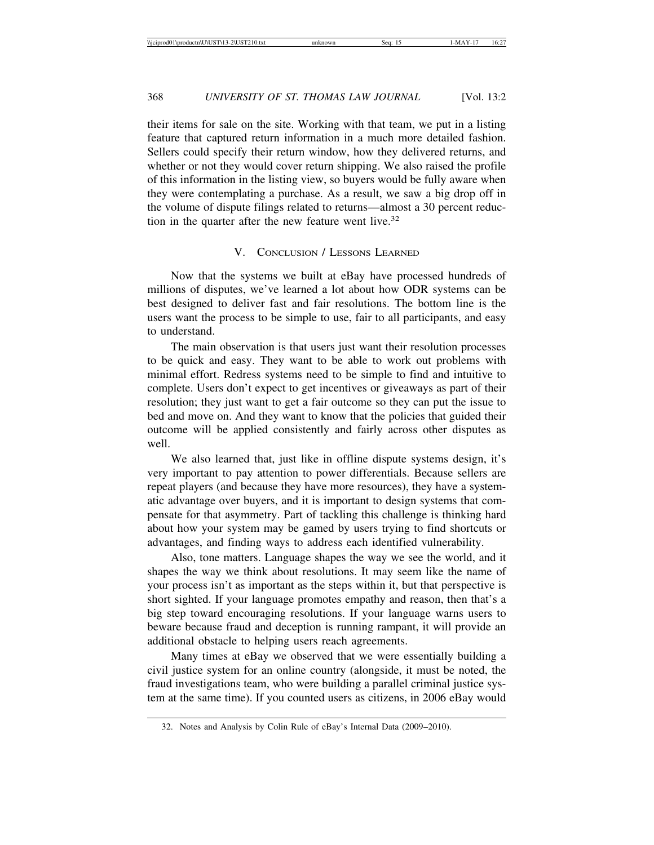their items for sale on the site. Working with that team, we put in a listing feature that captured return information in a much more detailed fashion. Sellers could specify their return window, how they delivered returns, and whether or not they would cover return shipping. We also raised the profile of this information in the listing view, so buyers would be fully aware when they were contemplating a purchase. As a result, we saw a big drop off in the volume of dispute filings related to returns—almost a 30 percent reduction in the quarter after the new feature went live.<sup>32</sup>

### V. CONCLUSION / LESSONS LEARNED

Now that the systems we built at eBay have processed hundreds of millions of disputes, we've learned a lot about how ODR systems can be best designed to deliver fast and fair resolutions. The bottom line is the users want the process to be simple to use, fair to all participants, and easy to understand.

The main observation is that users just want their resolution processes to be quick and easy. They want to be able to work out problems with minimal effort. Redress systems need to be simple to find and intuitive to complete. Users don't expect to get incentives or giveaways as part of their resolution; they just want to get a fair outcome so they can put the issue to bed and move on. And they want to know that the policies that guided their outcome will be applied consistently and fairly across other disputes as well.

We also learned that, just like in offline dispute systems design, it's very important to pay attention to power differentials. Because sellers are repeat players (and because they have more resources), they have a systematic advantage over buyers, and it is important to design systems that compensate for that asymmetry. Part of tackling this challenge is thinking hard about how your system may be gamed by users trying to find shortcuts or advantages, and finding ways to address each identified vulnerability.

Also, tone matters. Language shapes the way we see the world, and it shapes the way we think about resolutions. It may seem like the name of your process isn't as important as the steps within it, but that perspective is short sighted. If your language promotes empathy and reason, then that's a big step toward encouraging resolutions. If your language warns users to beware because fraud and deception is running rampant, it will provide an additional obstacle to helping users reach agreements.

Many times at eBay we observed that we were essentially building a civil justice system for an online country (alongside, it must be noted, the fraud investigations team, who were building a parallel criminal justice system at the same time). If you counted users as citizens, in 2006 eBay would

<sup>32.</sup> Notes and Analysis by Colin Rule of eBay's Internal Data (2009–2010).